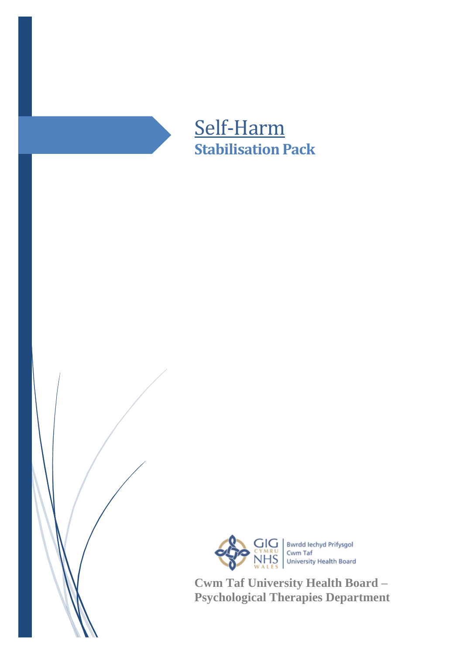



**Cwm Taf University Health Board – Psychological Therapies Department**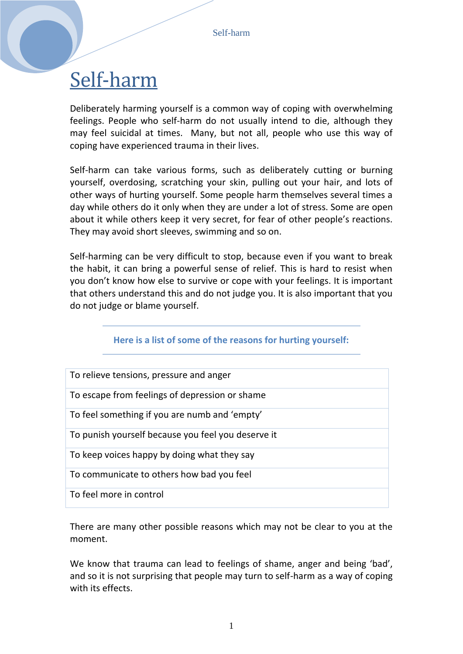# Self-harm

Deliberately harming yourself is a common way of coping with overwhelming feelings. People who self-harm do not usually intend to die, although they may feel suicidal at times. Many, but not all, people who use this way of coping have experienced trauma in their lives.

Self-harm can take various forms, such as deliberately cutting or burning yourself, overdosing, scratching your skin, pulling out your hair, and lots of other ways of hurting yourself. Some people harm themselves several times a day while others do it only when they are under a lot of stress. Some are open about it while others keep it very secret, for fear of other people's reactions. They may avoid short sleeves, swimming and so on.

Self-harming can be very difficult to stop, because even if you want to break the habit, it can bring a powerful sense of relief. This is hard to resist when you don't know how else to survive or cope with your feelings. It is important that others understand this and do not judge you. It is also important that you do not judge or blame yourself.

| To relieve tensions, pressure and anger            |
|----------------------------------------------------|
| To escape from feelings of depression or shame     |
| To feel something if you are numb and 'empty'      |
| To punish yourself because you feel you deserve it |
| To keep voices happy by doing what they say        |
| To communicate to others how bad you feel          |
| To feel more in control                            |

There are many other possible reasons which may not be clear to you at the moment.

We know that trauma can lead to feelings of shame, anger and being 'bad', and so it is not surprising that people may turn to self-harm as a way of coping with its effects.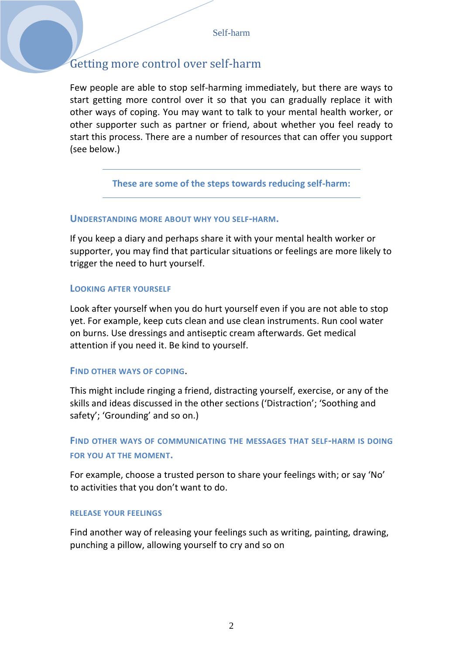## Getting more control over self-harm

Few people are able to stop self-harming immediately, but there are ways to start getting more control over it so that you can gradually replace it with other ways of coping. You may want to talk to your mental health worker, or other supporter such as partner or friend, about whether you feel ready to start this process. There are a number of resources that can offer you support (see below.)

**These are some of the steps towards reducing self-harm:**

## **UNDERSTANDING MORE ABOUT WHY YOU SELF-HARM.**

If you keep a diary and perhaps share it with your mental health worker or supporter, you may find that particular situations or feelings are more likely to trigger the need to hurt yourself.

## **LOOKING AFTER YOURSELF**

Look after yourself when you do hurt yourself even if you are not able to stop yet. For example, keep cuts clean and use clean instruments. Run cool water on burns. Use dressings and antiseptic cream afterwards. Get medical attention if you need it. Be kind to yourself.

#### **FIND OTHER WAYS OF COPING**.

This might include ringing a friend, distracting yourself, exercise, or any of the skills and ideas discussed in the other sections ('Distraction'; 'Soothing and safety'; 'Grounding' and so on.)

**FIND OTHER WAYS OF COMMUNICATING THE MESSAGES THAT SELF-HARM IS DOING FOR YOU AT THE MOMENT.**

For example, choose a trusted person to share your feelings with; or say 'No' to activities that you don't want to do.

#### **RELEASE YOUR FEELINGS**

Find another way of releasing your feelings such as writing, painting, drawing, punching a pillow, allowing yourself to cry and so on